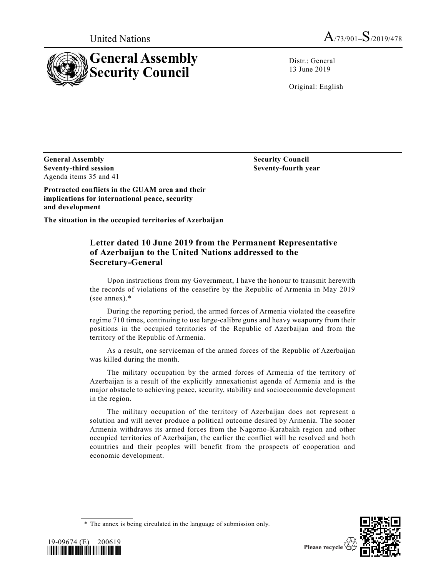



Distr.: General 13 June 2019

Original: English

**General Assembly Seventy-third session** Agenda items 35 and 41

**Security Council Seventy-fourth year**

**Protracted conflicts in the GUAM area and their implications for international peace, security and development**

**The situation in the occupied territories of Azerbaijan**

# **Letter dated 10 June 2019 from the Permanent Representative of Azerbaijan to the United Nations addressed to the Secretary-General**

Upon instructions from my Government, I have the honour to transmit herewith the records of violations of the ceasefire by the Republic of Armenia in May 2019 (see annex).\*

During the reporting period, the armed forces of Armenia violated the ceasefire regime 710 times, continuing to use large-calibre guns and heavy weaponry from their positions in the occupied territories of the Republic of Azerbaijan and from the territory of the Republic of Armenia.

As a result, one serviceman of the armed forces of the Republic of Azerbaijan was killed during the month.

The military occupation by the armed forces of Armenia of the territory of Azerbaijan is a result of the explicitly annexationist agenda of Armenia and is the major obstacle to achieving peace, security, stability and socioeconomic development in the region.

The military occupation of the territory of Azerbaijan does not represent a solution and will never produce a political outcome desired by Armenia. The sooner Armenia withdraws its armed forces from the Nagorno-Karabakh region and other occupied territories of Azerbaijan, the earlier the conflict will be resolved and both countries and their peoples will benefit from the prospects of cooperation and economic development.





<sup>\*</sup> The annex is being circulated in the language of submission only.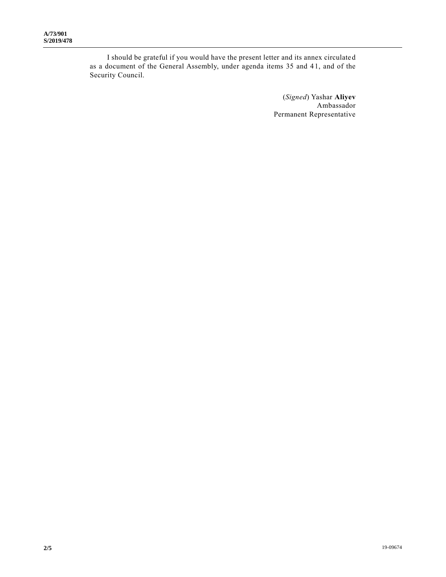I should be grateful if you would have the present letter and its annex circulate d as a document of the General Assembly, under agenda items 35 and 41, and of the Security Council.

> (*Signed*) Yashar **Aliyev** Ambassador Permanent Representative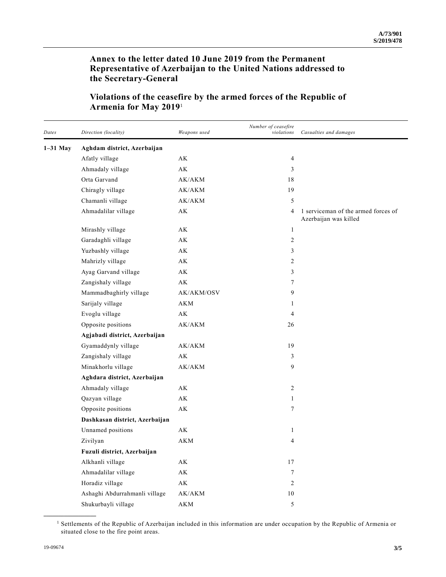# **Annex to the letter dated 10 June 2019 from the Permanent Representative of Azerbaijan to the United Nations addressed to the Secretary-General**

| Dates      | Direction (locality)           | Weapons used           | Number of ceasefire<br>violations | Casualties and damages                                       |  |  |
|------------|--------------------------------|------------------------|-----------------------------------|--------------------------------------------------------------|--|--|
| $1-31$ May | Aghdam district, Azerbaijan    |                        |                                   |                                                              |  |  |
|            | Afatly village                 | AK                     | 4                                 |                                                              |  |  |
|            | Ahmadaly village               | AK                     | 3                                 |                                                              |  |  |
|            | Orta Garvand                   | AK/AKM                 | 18                                |                                                              |  |  |
|            | Chiragly village               | AK/AKM                 | 19                                |                                                              |  |  |
|            | Chamanli village               | AK/AKM                 | 5                                 |                                                              |  |  |
|            | Ahmadalilar village            | АK                     | 4                                 | 1 serviceman of the armed forces of<br>Azerbaijan was killed |  |  |
|            | Mirashly village               | AK                     | $\mathbf{1}$                      |                                                              |  |  |
|            | Garadaghli village             | AK                     | 2                                 |                                                              |  |  |
|            | Yuzbashly village              | AK                     | 3                                 |                                                              |  |  |
|            | Mahrizly village               | AK                     | 2                                 |                                                              |  |  |
|            | Ayag Garvand village           | AK                     | 3                                 |                                                              |  |  |
|            | Zangishaly village             | AK                     | 7                                 |                                                              |  |  |
|            | Mammadbaghirly village         | AK/AKM/OSV             | 9                                 |                                                              |  |  |
|            | Sarijaly village               | AKM                    | 1                                 |                                                              |  |  |
|            | Evoglu village                 | $\mathbf{A}\mathbf{K}$ | 4                                 |                                                              |  |  |
|            | Opposite positions             | AK/AKM                 | 26                                |                                                              |  |  |
|            | Agjabadi district, Azerbaijan  |                        |                                   |                                                              |  |  |
|            | Gyamaddynly village            | AK/AKM                 | 19                                |                                                              |  |  |
|            | Zangishaly village             | AK                     | 3                                 |                                                              |  |  |
|            | Minakhorlu village             | AK/AKM                 | 9                                 |                                                              |  |  |
|            | Aghdara district, Azerbaijan   |                        |                                   |                                                              |  |  |
|            | Ahmadaly village               | AK                     | $\overline{c}$                    |                                                              |  |  |
|            | Qazyan village                 | AK                     | 1                                 |                                                              |  |  |
|            | Opposite positions             | AK                     | 7                                 |                                                              |  |  |
|            | Dashkasan district, Azerbaijan |                        |                                   |                                                              |  |  |
|            | Unnamed positions              | AK                     | 1                                 |                                                              |  |  |
|            | Zivilyan                       | <b>AKM</b>             | 4                                 |                                                              |  |  |
|            | Fuzuli district, Azerbaijan    |                        |                                   |                                                              |  |  |
|            | Alkhanli village               | $\mathbf{A}\mathbf{K}$ | 17                                |                                                              |  |  |
|            | Ahmadalilar village            | $\mathbf{A}\mathbf{K}$ | $\tau$                            |                                                              |  |  |
|            | Horadiz village                | $\mathbf{A}\mathbf{K}$ | $\overline{c}$                    |                                                              |  |  |
|            | Ashaghi Abdurrahmanli village  | ${\rm AK/AKM}$         | $10\,$                            |                                                              |  |  |
|            | Shukurbayli village            | $\mathbf{AKM}$         | $\sqrt{5}$                        |                                                              |  |  |

# **Violations of the ceasefire by the armed forces of the Republic of Armenia for May 2019**<sup>1</sup>

<sup>1</sup> Settlements of the Republic of Azerbaijan included in this information are under occupation by the Republic of Armenia or situated close to the fire point areas.

**\_\_\_\_\_\_\_\_\_\_\_\_\_\_\_\_\_\_**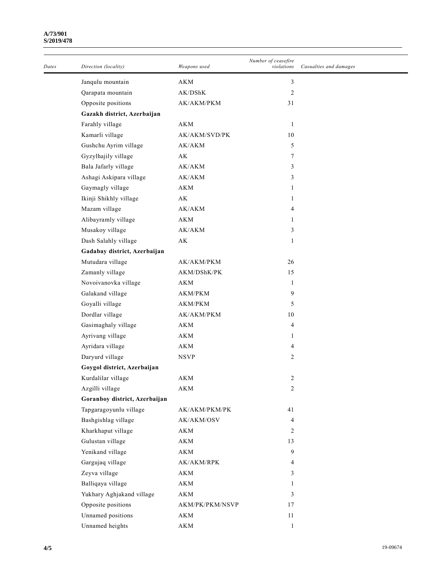### **A/73/901 S/2019/478**

| Dates | Direction (locality)          | Weapons used           | Number of ceasefire<br>violations | Casualties and damages |
|-------|-------------------------------|------------------------|-----------------------------------|------------------------|
|       | Janqulu mountain              | AKM                    | 3                                 |                        |
|       | Qarapata mountain             | AK/DShK                | 2                                 |                        |
|       | Opposite positions            | AK/AKM/PKM             | 31                                |                        |
|       | Gazakh district, Azerbaijan   |                        |                                   |                        |
|       | Farahly village               | AKM                    | $\mathbf{1}$                      |                        |
|       | Kamarli village               | AK/AKM/SVD/PK          | 10                                |                        |
|       | Gushchu Ayrim village         | AK/AKM                 | 5                                 |                        |
|       | Gyzylhajily village           | $\mathbf{A}\mathbf{K}$ | 7                                 |                        |
|       | Bala Jafarly village          | AK/AKM                 | 3                                 |                        |
|       | Ashagi Askipara village       | AK/AKM                 | 3                                 |                        |
|       | Gaymagly village              | AKM                    | 1                                 |                        |
|       | Ikinji Shikhly village        | AK                     | 1                                 |                        |
|       | Mazam village                 | AK/AKM                 | 4                                 |                        |
|       | Alibayramly village           | AKM                    | $\mathbf{1}$                      |                        |
|       | Musakoy village               | AK/AKM                 | 3                                 |                        |
|       | Dash Salahly village          | $\mathbf{A}\mathbf{K}$ | 1                                 |                        |
|       | Gadabay district, Azerbaijan  |                        |                                   |                        |
|       | Mutudara village              | AK/AKM/PKM             | 26                                |                        |
|       | Zamanly village               | AKM/DShK/PK            | 15                                |                        |
|       | Novoivanovka village          | AKM                    | $\mathbf{1}$                      |                        |
|       | Galakand village              | <b>AKM/PKM</b>         | 9                                 |                        |
|       | Goyalli village               | AKM/PKM                | 5                                 |                        |
|       | Dordlar village               | AK/AKM/PKM             | 10                                |                        |
|       | Gasimaghaly village           | AKM                    | 4                                 |                        |
|       | Ayrivang village              | AKM                    | 1                                 |                        |
|       | Ayridara village              | $\mathbf{AKM}$         | 4                                 |                        |
|       | Daryurd village               | <b>NSVP</b>            | 2                                 |                        |
|       | Goygol district, Azerbaijan   |                        |                                   |                        |
|       | Kurdalilar village            | AKM                    | $\overline{c}$                    |                        |
|       | Azgilli village               | AKM                    | 2                                 |                        |
|       | Goranboy district, Azerbaijan |                        |                                   |                        |
|       | Tapgaragoyunlu village        | AK/AKM/PKM/PK          | 41                                |                        |
|       | Bashgishlag village           | AK/AKM/OSV             | 4                                 |                        |
|       | Kharkhaput village            | AKM                    | 2                                 |                        |
|       | Gulustan village              | $\mathbf{AKM}$         | 13                                |                        |
|       | Yenikand village              | $\mathbf{AKM}$         | 9                                 |                        |
|       | Gargujaq village              | AK/AKM/RPK             | 4                                 |                        |
|       | Zeyva village                 | $\mathbf{AKM}$         | 3                                 |                        |
|       | Balliqaya village             | $\mathbf{AKM}$         | 1                                 |                        |
|       | Yukhary Aghjakand village     | $\mathbf{AKM}$         | 3                                 |                        |
|       | Opposite positions            | AKM/PK/PKM/NSVP        | 17                                |                        |
|       | Unnamed positions             | $\mathbf{AKM}$         | 11                                |                        |
|       | Unnamed heights               | $\mathbf{AKM}$         | $\mathbf{1}$                      |                        |